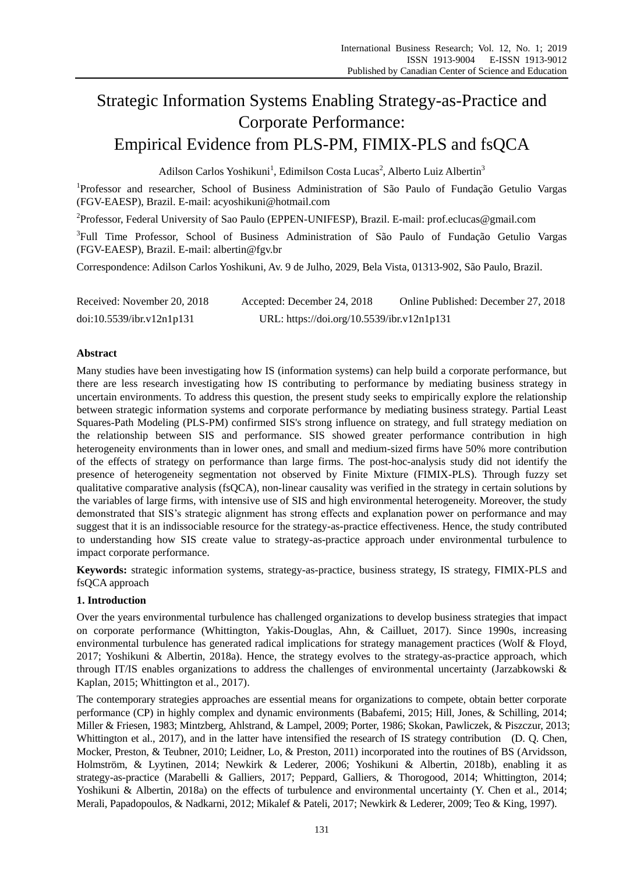# Strategic Information Systems Enabling Strategy-as-Practice and Corporate Performance: Empirical Evidence from PLS-PM, FIMIX-PLS and fsQCA

Adilson Carlos Yoshikuni<sup>1</sup>, Edimilson Costa Lucas<sup>2</sup>, Alberto Luiz Albertin<sup>3</sup>

<sup>1</sup>Professor and researcher, School of Business Administration of São Paulo of Fundação Getulio Vargas (FGV-EAESP), Brazil. E-mail: acyoshikuni@hotmail.com

<sup>2</sup>Professor, Federal University of Sao Paulo (EPPEN-UNIFESP), Brazil. E-mail: prof.eclucas@gmail.com

<sup>3</sup>Full Time Professor, School of Business Administration of São Paulo of Fundação Getulio Vargas (FGV-EAESP), Brazil. E-mail: albertin@fgv.br

Correspondence: Adilson Carlos Yoshikuni, Av. 9 de Julho, 2029, Bela Vista, 01313-902, São Paulo, Brazil.

| Received: November 20, 2018 | Accepted: December 24, 2018                | Online Published: December 27, 2018 |
|-----------------------------|--------------------------------------------|-------------------------------------|
| doi:10.5539/ibr.v12n1p131   | URL: https://doi.org/10.5539/ibr.v12n1p131 |                                     |

# **Abstract**

Many studies have been investigating how IS (information systems) can help build a corporate performance, but there are less research investigating how IS contributing to performance by mediating business strategy in uncertain environments. To address this question, the present study seeks to empirically explore the relationship between strategic information systems and corporate performance by mediating business strategy. Partial Least Squares-Path Modeling (PLS-PM) confirmed SIS's strong influence on strategy, and full strategy mediation on the relationship between SIS and performance. SIS showed greater performance contribution in high heterogeneity environments than in lower ones, and small and medium-sized firms have 50% more contribution of the effects of strategy on performance than large firms. The post-hoc-analysis study did not identify the presence of heterogeneity segmentation not observed by Finite Mixture (FIMIX-PLS). Through fuzzy set qualitative comparative analysis (fsQCA), non-linear causality was verified in the strategy in certain solutions by the variables of large firms, with intensive use of SIS and high environmental heterogeneity. Moreover, the study demonstrated that SIS's strategic alignment has strong effects and explanation power on performance and may suggest that it is an indissociable resource for the strategy-as-practice effectiveness. Hence, the study contributed to understanding how SIS create value to strategy-as-practice approach under environmental turbulence to impact corporate performance.

**Keywords:** strategic information systems, strategy-as-practice, business strategy, IS strategy, FIMIX-PLS and fsQCA approach

## **1. Introduction**

Over the years environmental turbulence has challenged organizations to develop business strategies that impact on corporate performance (Whittington, Yakis-Douglas, Ahn, & Cailluet, 2017). Since 1990s, increasing environmental turbulence has generated radical implications for strategy management practices (Wolf & Floyd, 2017; Yoshikuni & Albertin, 2018a). Hence, the strategy evolves to the strategy-as-practice approach, which through IT/IS enables organizations to address the challenges of environmental uncertainty (Jarzabkowski & Kaplan, 2015; Whittington et al., 2017).

The contemporary strategies approaches are essential means for organizations to compete, obtain better corporate performance (CP) in highly complex and dynamic environments (Babafemi, 2015; Hill, Jones, & Schilling, 2014; Miller & Friesen, 1983; Mintzberg, Ahlstrand, & Lampel, 2009; Porter, 1986; Skokan, Pawliczek, & Piszczur, 2013; Whittington et al., 2017), and in the latter have intensified the research of IS strategy contribution (D. Q. Chen, Mocker, Preston, & Teubner, 2010; Leidner, Lo, & Preston, 2011) incorporated into the routines of BS (Arvidsson, Holmström, & Lyytinen, 2014; Newkirk & Lederer, 2006; Yoshikuni & Albertin, 2018b), enabling it as strategy-as-practice (Marabelli & Galliers, 2017; Peppard, Galliers, & Thorogood, 2014; Whittington, 2014; Yoshikuni & Albertin, 2018a) on the effects of turbulence and environmental uncertainty (Y. Chen et al., 2014; Merali, Papadopoulos, & Nadkarni, 2012; Mikalef & Pateli, 2017; Newkirk & Lederer, 2009; Teo & King, 1997).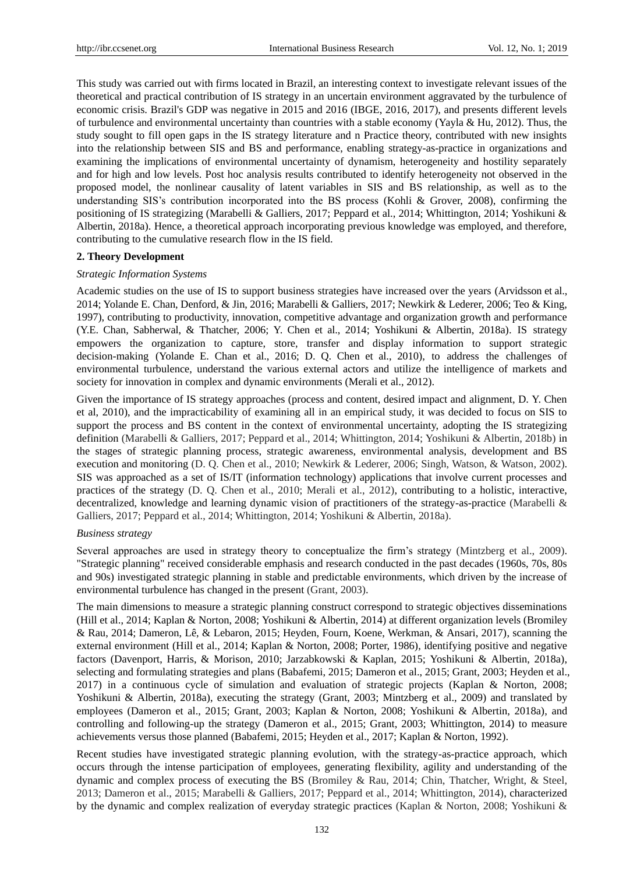This study was carried out with firms located in Brazil, an interesting context to investigate relevant issues of the theoretical and practical contribution of IS strategy in an uncertain environment aggravated by the turbulence of economic crisis. Brazil's GDP was negative in 2015 and 2016 (IBGE, 2016, 2017), and presents different levels of turbulence and environmental uncertainty than countries with a stable economy (Yayla & Hu, 2012). Thus, the study sought to fill open gaps in the IS strategy literature and n Practice theory, contributed with new insights into the relationship between SIS and BS and performance, enabling strategy-as-practice in organizations and examining the implications of environmental uncertainty of dynamism, heterogeneity and hostility separately and for high and low levels. Post hoc analysis results contributed to identify heterogeneity not observed in the proposed model, the nonlinear causality of latent variables in SIS and BS relationship, as well as to the understanding SIS's contribution incorporated into the BS process (Kohli & Grover, 2008), confirming the positioning of IS strategizing (Marabelli & Galliers, 2017; Peppard et al., 2014; Whittington, 2014; Yoshikuni & Albertin, 2018a). Hence, a theoretical approach incorporating previous knowledge was employed, and therefore, contributing to the cumulative research flow in the IS field.

#### **2. Theory Development**

#### *Strategic Information Systems*

Academic studies on the use of IS to support business strategies have increased over the years (Arvidsson et al., 2014; Yolande E. Chan, Denford, & Jin, 2016; Marabelli & Galliers, 2017; Newkirk & Lederer, 2006; Teo & King, 1997), contributing to productivity, innovation, competitive advantage and organization growth and performance (Y.E. Chan, Sabherwal, & Thatcher, 2006; Y. Chen et al., 2014; Yoshikuni & Albertin, 2018a). IS strategy empowers the organization to capture, store, transfer and display information to support strategic decision-making (Yolande E. Chan et al., 2016; D. Q. Chen et al., 2010), to address the challenges of environmental turbulence, understand the various external actors and utilize the intelligence of markets and society for innovation in complex and dynamic environments (Merali et al., 2012).

Given the importance of IS strategy approaches (process and content, desired impact and alignment, D. Y. Chen et al, 2010), and the impracticability of examining all in an empirical study, it was decided to focus on SIS to support the process and BS content in the context of environmental uncertainty, adopting the IS strategizing definition (Marabelli & Galliers, 2017; Peppard et al., 2014; Whittington, 2014; Yoshikuni & Albertin, 2018b) in the stages of strategic planning process, strategic awareness, environmental analysis, development and BS execution and monitoring (D. Q. Chen et al., 2010; Newkirk & Lederer, 2006; Singh, Watson, & Watson, 2002). SIS was approached as a set of IS/IT (information technology) applications that involve current processes and practices of the strategy (D. Q. Chen et al., 2010; Merali et al., 2012), contributing to a holistic, interactive, decentralized, knowledge and learning dynamic vision of practitioners of the strategy-as-practice (Marabelli & Galliers, 2017; Peppard et al., 2014; Whittington, 2014; Yoshikuni & Albertin, 2018a).

#### *Business strategy*

Several approaches are used in strategy theory to conceptualize the firm's strategy (Mintzberg et al., 2009). "Strategic planning" received considerable emphasis and research conducted in the past decades (1960s, 70s, 80s and 90s) investigated strategic planning in stable and predictable environments, which driven by the increase of environmental turbulence has changed in the present (Grant, 2003).

The main dimensions to measure a strategic planning construct correspond to strategic objectives disseminations (Hill et al., 2014; Kaplan & Norton, 2008; Yoshikuni & Albertin, 2014) at different organization levels (Bromiley & Rau, 2014; Dameron, Lê, & Lebaron, 2015; Heyden, Fourn, Koene, Werkman, & Ansari, 2017), scanning the external environment (Hill et al., 2014; Kaplan & Norton, 2008; Porter, 1986), identifying positive and negative factors (Davenport, Harris, & Morison, 2010; Jarzabkowski & Kaplan, 2015; Yoshikuni & Albertin, 2018a), selecting and formulating strategies and plans (Babafemi, 2015; Dameron et al., 2015; Grant, 2003; Heyden et al., 2017) in a continuous cycle of simulation and evaluation of strategic projects (Kaplan & Norton, 2008; Yoshikuni & Albertin, 2018a), executing the strategy (Grant, 2003; Mintzberg et al., 2009) and translated by employees (Dameron et al., 2015; Grant, 2003; Kaplan & Norton, 2008; Yoshikuni & Albertin, 2018a), and controlling and following-up the strategy (Dameron et al., 2015; Grant, 2003; Whittington, 2014) to measure achievements versus those planned (Babafemi, 2015; Heyden et al., 2017; Kaplan & Norton, 1992).

Recent studies have investigated strategic planning evolution, with the strategy-as-practice approach, which occurs through the intense participation of employees, generating flexibility, agility and understanding of the dynamic and complex process of executing the BS (Bromiley & Rau, 2014; Chin, Thatcher, Wright, & Steel, 2013; Dameron et al., 2015; Marabelli & Galliers, 2017; Peppard et al., 2014; Whittington, 2014), characterized by the dynamic and complex realization of everyday strategic practices (Kaplan & Norton, 2008; Yoshikuni &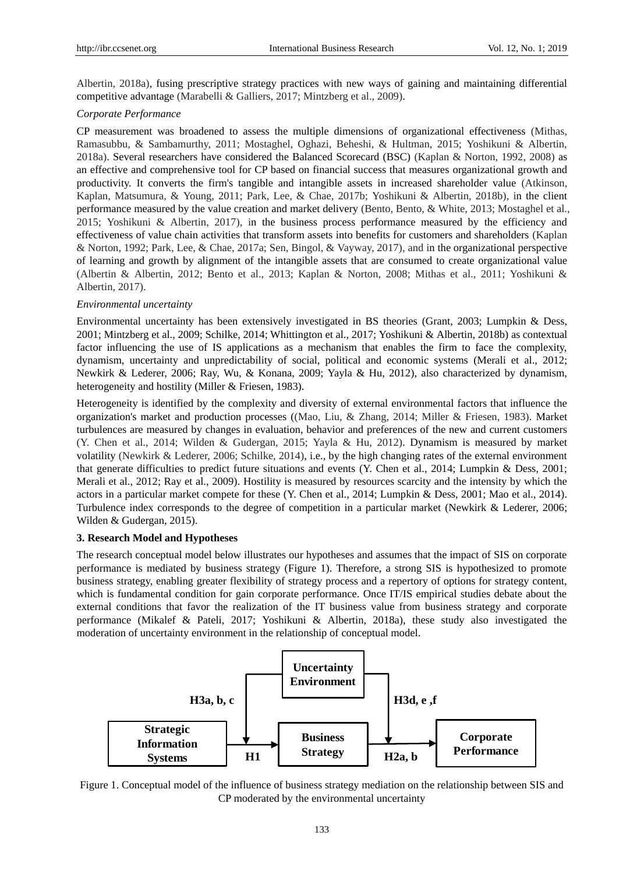Albertin, 2018a), fusing prescriptive strategy practices with new ways of gaining and maintaining differential competitive advantage (Marabelli & Galliers, 2017; Mintzberg et al., 2009).

#### *Corporate Performance*

CP measurement was broadened to assess the multiple dimensions of organizational effectiveness (Mithas, Ramasubbu, & Sambamurthy, 2011; Mostaghel, Oghazi, Beheshi, & Hultman, 2015; Yoshikuni & Albertin, 2018a). Several researchers have considered the Balanced Scorecard (BSC) (Kaplan & Norton, 1992, 2008) as an effective and comprehensive tool for CP based on financial success that measures organizational growth and productivity. It converts the firm's tangible and intangible assets in increased shareholder value (Atkinson, Kaplan, Matsumura, & Young, 2011; Park, Lee, & Chae, 2017b; Yoshikuni & Albertin, 2018b), in the client performance measured by the value creation and market delivery (Bento, Bento, & White, 2013; Mostaghel et al., 2015; Yoshikuni & Albertin, 2017), in the business process performance measured by the efficiency and effectiveness of value chain activities that transform assets into benefits for customers and shareholders (Kaplan & Norton, 1992; Park, Lee, & Chae, 2017a; Sen, Bingol, & Vayway, 2017), and in the organizational perspective of learning and growth by alignment of the intangible assets that are consumed to create organizational value (Albertin & Albertin, 2012; Bento et al., 2013; Kaplan & Norton, 2008; Mithas et al., 2011; Yoshikuni & Albertin, 2017).

## *Environmental uncertainty*

Environmental uncertainty has been extensively investigated in BS theories (Grant, 2003; Lumpkin & Dess, 2001; Mintzberg et al., 2009; Schilke, 2014; Whittington et al., 2017; Yoshikuni & Albertin, 2018b) as contextual factor influencing the use of IS applications as a mechanism that enables the firm to face the complexity, dynamism, uncertainty and unpredictability of social, political and economic systems (Merali et al., 2012; Newkirk & Lederer, 2006; Ray, Wu, & Konana, 2009; Yayla & Hu, 2012), also characterized by dynamism, heterogeneity and hostility (Miller & Friesen, 1983).

Heterogeneity is identified by the complexity and diversity of external environmental factors that influence the organization's market and production processes ((Mao, Liu, & Zhang, 2014; Miller & Friesen, 1983). Market turbulences are measured by changes in evaluation, behavior and preferences of the new and current customers (Y. Chen et al., 2014; Wilden & Gudergan, 2015; Yayla & Hu, 2012). Dynamism is measured by market volatility (Newkirk & Lederer, 2006; Schilke, 2014), i.e., by the high changing rates of the external environment that generate difficulties to predict future situations and events (Y. Chen et al., 2014; Lumpkin & Dess, 2001; Merali et al., 2012; Ray et al., 2009). Hostility is measured by resources scarcity and the intensity by which the actors in a particular market compete for these (Y. Chen et al., 2014; Lumpkin & Dess, 2001; Mao et al., 2014). Turbulence index corresponds to the degree of competition in a particular market (Newkirk & Lederer, 2006; Wilden & Gudergan, 2015).

#### **3. Research Model and Hypotheses**

The research conceptual model below illustrates our hypotheses and assumes that the impact of SIS on corporate performance is mediated by business strategy (Figure 1). Therefore, a strong SIS is hypothesized to promote business strategy, enabling greater flexibility of strategy process and a repertory of options for strategy content, which is fundamental condition for gain corporate performance. Once IT/IS empirical studies debate about the external conditions that favor the realization of the IT business value from business strategy and corporate performance (Mikalef & Pateli, 2017; Yoshikuni & Albertin, 2018a), these study also investigated the moderation of uncertainty environment in the relationship of conceptual model.



Figure 1. Conceptual model of the influence of business strategy mediation on the relationship between SIS and CP moderated by the environmental uncertainty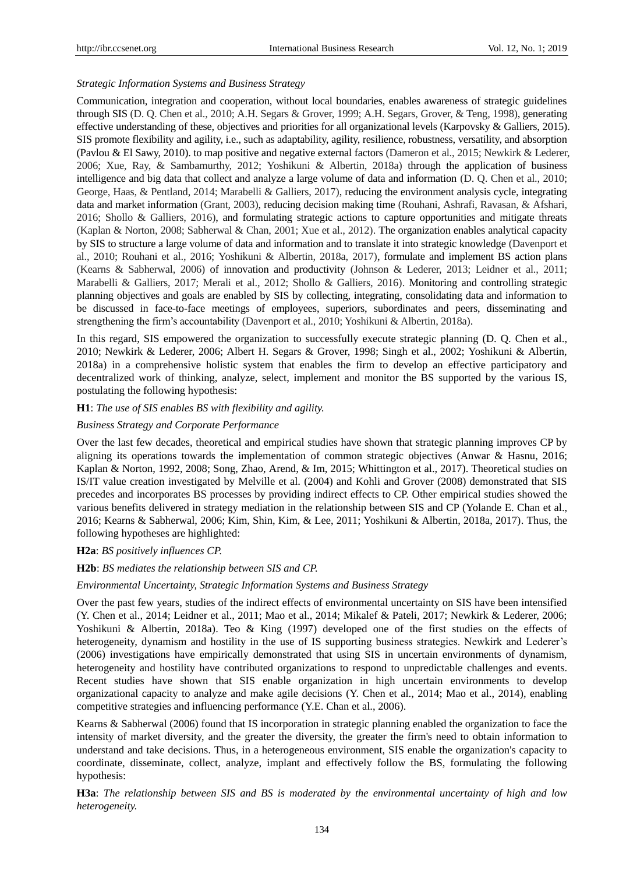#### *Strategic Information Systems and Business Strategy*

Communication, integration and cooperation, without local boundaries, enables awareness of strategic guidelines through SIS (D. Q. Chen et al., 2010; A.H. Segars & Grover, 1999; A.H. Segars, Grover, & Teng, 1998), generating effective understanding of these, objectives and priorities for all organizational levels (Karpovsky & Galliers, 2015). SIS promote flexibility and agility, i.e., such as adaptability, agility, resilience, robustness, versatility, and absorption (Pavlou & El Sawy, 2010). to map positive and negative external factors (Dameron et al., 2015; Newkirk & Lederer, 2006; Xue, Ray, & Sambamurthy, 2012; Yoshikuni & Albertin, 2018a) through the application of business intelligence and big data that collect and analyze a large volume of data and information (D. Q. Chen et al., 2010; George, Haas, & Pentland, 2014; Marabelli & Galliers, 2017), reducing the environment analysis cycle, integrating data and market information (Grant, 2003), reducing decision making time (Rouhani, Ashrafi, Ravasan, & Afshari, 2016; Shollo & Galliers, 2016), and formulating strategic actions to capture opportunities and mitigate threats (Kaplan & Norton, 2008; Sabherwal & Chan, 2001; Xue et al., 2012). The organization enables analytical capacity by SIS to structure a large volume of data and information and to translate it into strategic knowledge (Davenport et al., 2010; Rouhani et al., 2016; Yoshikuni & Albertin, 2018a, 2017), formulate and implement BS action plans (Kearns & Sabherwal, 2006) of innovation and productivity (Johnson & Lederer, 2013; Leidner et al., 2011; Marabelli & Galliers, 2017; Merali et al., 2012; Shollo & Galliers, 2016). Monitoring and controlling strategic planning objectives and goals are enabled by SIS by collecting, integrating, consolidating data and information to be discussed in face-to-face meetings of employees, superiors, subordinates and peers, disseminating and strengthening the firm's accountability (Davenport et al., 2010; Yoshikuni & Albertin, 2018a).

In this regard, SIS empowered the organization to successfully execute strategic planning (D. Q. Chen et al., 2010; Newkirk & Lederer, 2006; Albert H. Segars & Grover, 1998; Singh et al., 2002; Yoshikuni & Albertin, 2018a) in a comprehensive holistic system that enables the firm to develop an effective participatory and decentralized work of thinking, analyze, select, implement and monitor the BS supported by the various IS, postulating the following hypothesis:

## **H1**: *The use of SIS enables BS with flexibility and agility.*

## *Business Strategy and Corporate Performance*

Over the last few decades, theoretical and empirical studies have shown that strategic planning improves CP by aligning its operations towards the implementation of common strategic objectives (Anwar & Hasnu, 2016; Kaplan & Norton, 1992, 2008; Song, Zhao, Arend, & Im, 2015; Whittington et al., 2017). Theoretical studies on IS/IT value creation investigated by Melville et al. (2004) and Kohli and Grover (2008) demonstrated that SIS precedes and incorporates BS processes by providing indirect effects to CP. Other empirical studies showed the various benefits delivered in strategy mediation in the relationship between SIS and CP (Yolande E. Chan et al., 2016; Kearns & Sabherwal, 2006; Kim, Shin, Kim, & Lee, 2011; Yoshikuni & Albertin, 2018a, 2017). Thus, the following hypotheses are highlighted:

#### **H2a**: *BS positively influences CP.*

#### **H2b**: *BS mediates the relationship between SIS and CP.*

### *Environmental Uncertainty, Strategic Information Systems and Business Strategy*

Over the past few years, studies of the indirect effects of environmental uncertainty on SIS have been intensified (Y. Chen et al., 2014; Leidner et al., 2011; Mao et al., 2014; Mikalef & Pateli, 2017; Newkirk & Lederer, 2006; Yoshikuni & Albertin, 2018a). Teo & King (1997) developed one of the first studies on the effects of heterogeneity, dynamism and hostility in the use of IS supporting business strategies. Newkirk and Lederer's (2006) investigations have empirically demonstrated that using SIS in uncertain environments of dynamism, heterogeneity and hostility have contributed organizations to respond to unpredictable challenges and events. Recent studies have shown that SIS enable organization in high uncertain environments to develop organizational capacity to analyze and make agile decisions (Y. Chen et al., 2014; Mao et al., 2014), enabling competitive strategies and influencing performance (Y.E. Chan et al., 2006).

Kearns & Sabherwal (2006) found that IS incorporation in strategic planning enabled the organization to face the intensity of market diversity, and the greater the diversity, the greater the firm's need to obtain information to understand and take decisions. Thus, in a heterogeneous environment, SIS enable the organization's capacity to coordinate, disseminate, collect, analyze, implant and effectively follow the BS, formulating the following hypothesis:

**H3a**: *The relationship between SIS and BS is moderated by the environmental uncertainty of high and low heterogeneity.*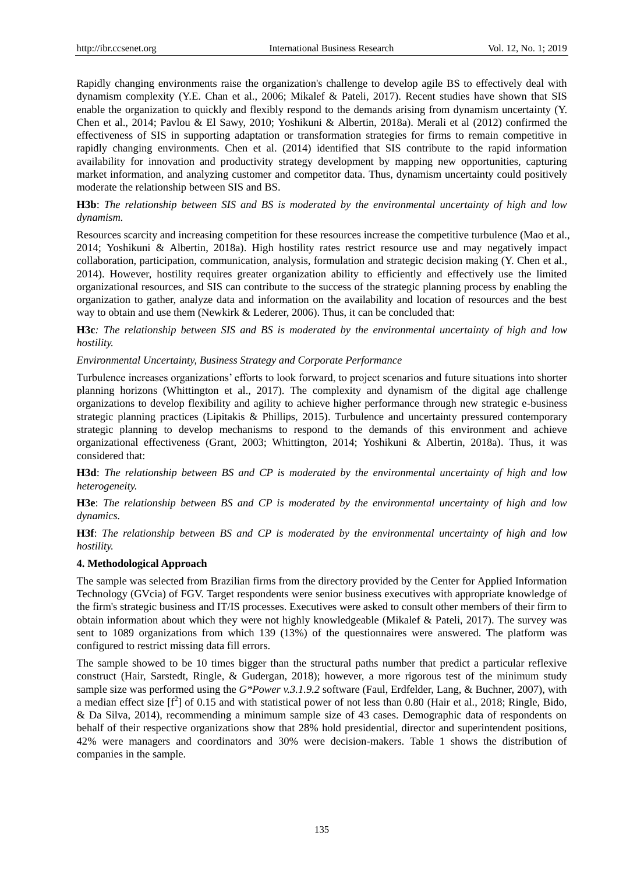Rapidly changing environments raise the organization's challenge to develop agile BS to effectively deal with dynamism complexity (Y.E. Chan et al., 2006; Mikalef & Pateli, 2017). Recent studies have shown that SIS enable the organization to quickly and flexibly respond to the demands arising from dynamism uncertainty (Y. Chen et al., 2014; Pavlou & El Sawy, 2010; Yoshikuni & Albertin, 2018a). Merali et al (2012) confirmed the effectiveness of SIS in supporting adaptation or transformation strategies for firms to remain competitive in rapidly changing environments. Chen et al. (2014) identified that SIS contribute to the rapid information availability for innovation and productivity strategy development by mapping new opportunities, capturing market information, and analyzing customer and competitor data. Thus, dynamism uncertainty could positively moderate the relationship between SIS and BS.

# **H3b**: *The relationship between SIS and BS is moderated by the environmental uncertainty of high and low dynamism.*

Resources scarcity and increasing competition for these resources increase the competitive turbulence (Mao et al., 2014; Yoshikuni & Albertin, 2018a). High hostility rates restrict resource use and may negatively impact collaboration, participation, communication, analysis, formulation and strategic decision making (Y. Chen et al., 2014). However, hostility requires greater organization ability to efficiently and effectively use the limited organizational resources, and SIS can contribute to the success of the strategic planning process by enabling the organization to gather, analyze data and information on the availability and location of resources and the best way to obtain and use them (Newkirk & Lederer, 2006). Thus, it can be concluded that:

**H3c***: The relationship between SIS and BS is moderated by the environmental uncertainty of high and low hostility.*

## *Environmental Uncertainty, Business Strategy and Corporate Performance*

Turbulence increases organizations' efforts to look forward, to project scenarios and future situations into shorter planning horizons (Whittington et al., 2017). The complexity and dynamism of the digital age challenge organizations to develop flexibility and agility to achieve higher performance through new strategic e-business strategic planning practices (Lipitakis & Phillips, 2015). Turbulence and uncertainty pressured contemporary strategic planning to develop mechanisms to respond to the demands of this environment and achieve organizational effectiveness (Grant, 2003; Whittington, 2014; Yoshikuni & Albertin, 2018a). Thus, it was considered that:

**H3d**: *The relationship between BS and CP is moderated by the environmental uncertainty of high and low heterogeneity.*

**H3e**: *The relationship between BS and CP is moderated by the environmental uncertainty of high and low dynamics.*

**H3f**: *The relationship between BS and CP is moderated by the environmental uncertainty of high and low hostility.*

## **4. Methodological Approach**

The sample was selected from Brazilian firms from the directory provided by the Center for Applied Information Technology (GVcia) of FGV. Target respondents were senior business executives with appropriate knowledge of the firm's strategic business and IT/IS processes. Executives were asked to consult other members of their firm to obtain information about which they were not highly knowledgeable (Mikalef & Pateli, 2017). The survey was sent to 1089 organizations from which 139 (13%) of the questionnaires were answered. The platform was configured to restrict missing data fill errors.

The sample showed to be 10 times bigger than the structural paths number that predict a particular reflexive construct (Hair, Sarstedt, Ringle, & Gudergan, 2018); however, a more rigorous test of the minimum study sample size was performed using the *G\*Power v.3.1.9.2* software (Faul, Erdfelder, Lang, & Buchner, 2007), with a median effect size  $[f^2]$  of 0.15 and with statistical power of not less than 0.80 (Hair et al., 2018; Ringle, Bido, & Da Silva, 2014), recommending a minimum sample size of 43 cases. Demographic data of respondents on behalf of their respective organizations show that 28% hold presidential, director and superintendent positions, 42% were managers and coordinators and 30% were decision-makers. Table 1 shows the distribution of companies in the sample.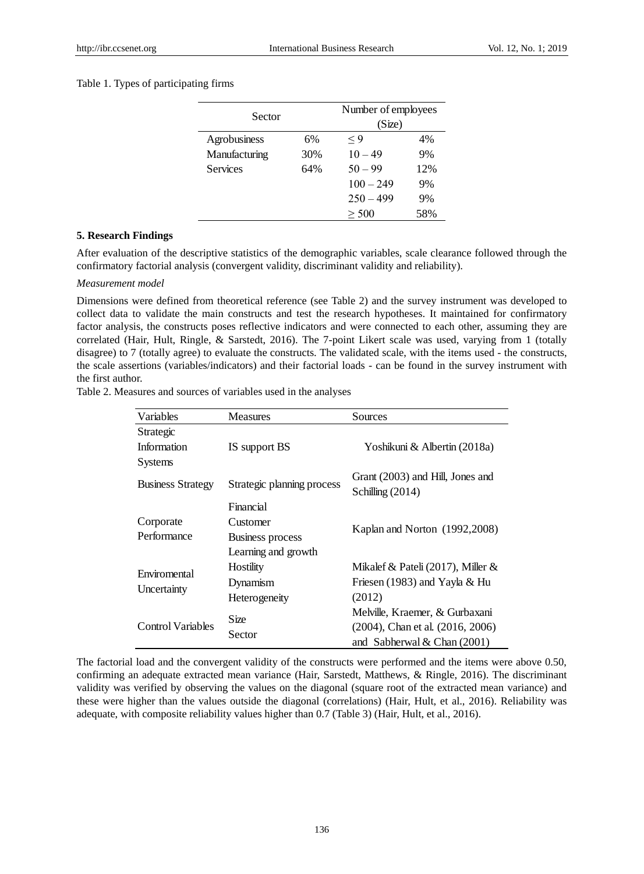## Table 1. Types of participating firms

| Sector          |     | Number of employees<br>(Size) |     |  |  |  |
|-----------------|-----|-------------------------------|-----|--|--|--|
|                 |     |                               |     |  |  |  |
| Agrobusiness    | 6%  | $\lt 9$                       | 4%  |  |  |  |
| Manufacturing   | 30% | $10 - 49$                     | 9%  |  |  |  |
| <b>Services</b> | 64% | $50 - 99$                     | 12% |  |  |  |
|                 |     | $100 - 249$                   | 9%  |  |  |  |
|                 |     | $250 - 499$                   | 9%  |  |  |  |
|                 |     | > 500                         | 58% |  |  |  |

#### **5. Research Findings**

After evaluation of the descriptive statistics of the demographic variables, scale clearance followed through the confirmatory factorial analysis (convergent validity, discriminant validity and reliability).

#### *Measurement model*

Dimensions were defined from theoretical reference (see Table 2) and the survey instrument was developed to collect data to validate the main constructs and test the research hypotheses. It maintained for confirmatory factor analysis, the constructs poses reflective indicators and were connected to each other, assuming they are correlated (Hair, Hult, Ringle, & Sarstedt, 2016). The 7-point Likert scale was used, varying from 1 (totally disagree) to 7 (totally agree) to evaluate the constructs. The validated scale, with the items used - the constructs, the scale assertions (variables/indicators) and their factorial loads - can be found in the survey instrument with the first author.

Table 2. Measures and sources of variables used in the analyses

| Variables                | <b>Measures</b>            | Sources                                              |  |  |  |
|--------------------------|----------------------------|------------------------------------------------------|--|--|--|
| Strategic                |                            |                                                      |  |  |  |
| Information              | IS support BS              | Yoshikuni & Albertin (2018a)                         |  |  |  |
| <b>Systems</b>           |                            |                                                      |  |  |  |
| <b>Business Strategy</b> | Strategic planning process | Grant (2003) and Hill, Jones and<br>Schilling (2014) |  |  |  |
|                          | Financial                  |                                                      |  |  |  |
| Corporate                | Customer                   |                                                      |  |  |  |
| Performance              | <b>Business process</b>    | Kaplan and Norton (1992, 2008)                       |  |  |  |
|                          | Learning and growth        |                                                      |  |  |  |
| Enviromental             | Hostility                  | Mikalef & Pateli (2017), Miller &                    |  |  |  |
|                          | Dynamism                   | Friesen (1983) and Yayla & Hu                        |  |  |  |
| Uncertainty              | Heterogeneity              | (2012)                                               |  |  |  |
|                          | Size                       | Melville, Kraemer, & Gurbaxani                       |  |  |  |
| Control Variables        |                            | $(2004)$ , Chan et al. $(2016, 2006)$                |  |  |  |
|                          | Sector                     | and Sabherwal & Chan $(2001)$                        |  |  |  |

The factorial load and the convergent validity of the constructs were performed and the items were above 0.50, confirming an adequate extracted mean variance (Hair, Sarstedt, Matthews, & Ringle, 2016). The discriminant validity was verified by observing the values on the diagonal (square root of the extracted mean variance) and these were higher than the values outside the diagonal (correlations) (Hair, Hult, et al., 2016). Reliability was adequate, with composite reliability values higher than 0.7 (Table 3) (Hair, Hult, et al., 2016).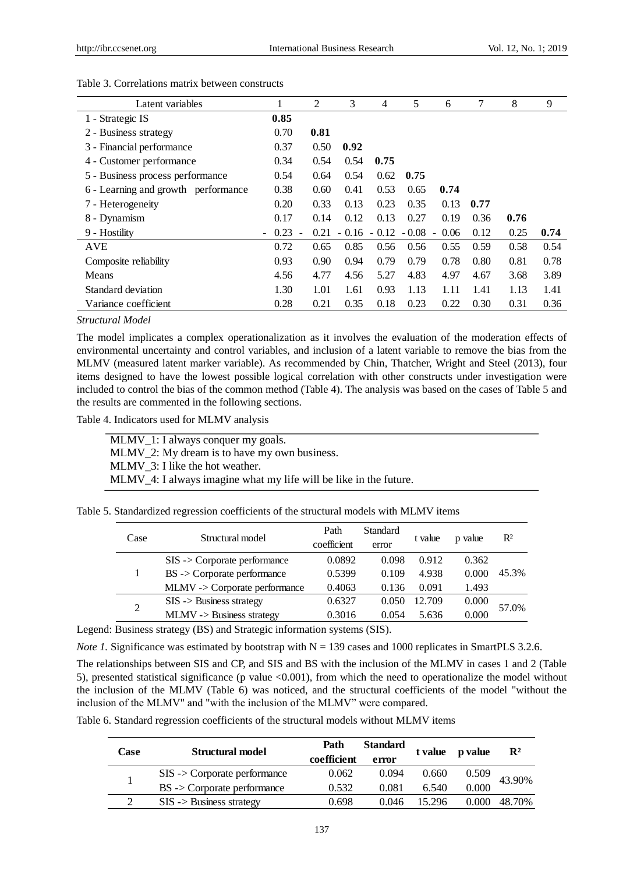| Latent variables                    |                                  | $\overline{2}$ | 3       | $\overline{4}$ | 5                | 6    | 7    | 8    | 9    |
|-------------------------------------|----------------------------------|----------------|---------|----------------|------------------|------|------|------|------|
| 1 - Strategic IS                    | 0.85                             |                |         |                |                  |      |      |      |      |
| 2 - Business strategy               | 0.70                             | 0.81           |         |                |                  |      |      |      |      |
| 3 - Financial performance           | 0.37                             | 0.50           | 0.92    |                |                  |      |      |      |      |
| 4 - Customer performance            | 0.34                             | 0.54           | 0.54    | 0.75           |                  |      |      |      |      |
| 5 - Business process performance    | 0.54                             | 0.64           | 0.54    | 0.62           | 0.75             |      |      |      |      |
| 6 - Learning and growth performance | 0.38                             | 0.60           | 0.41    | 0.53           | 0.65             | 0.74 |      |      |      |
| 7 - Heterogeneity                   | 0.20                             | 0.33           | 0.13    | 0.23           | 0.35             | 0.13 | 0.77 |      |      |
| 8 - Dynamism                        | 0.17                             | 0.14           | 0.12    | 0.13           | 0.27             | 0.19 | 0.36 | 0.76 |      |
| 9 - Hostility                       | 0.23<br>$\blacksquare$<br>$\sim$ | 0.21           | $-0.16$ |                | $-0.12 - 0.08 -$ | 0.06 | 0.12 | 0.25 | 0.74 |
| <b>AVE</b>                          | 0.72                             | 0.65           | 0.85    | 0.56           | 0.56             | 0.55 | 0.59 | 0.58 | 0.54 |
| Composite reliability               | 0.93                             | 0.90           | 0.94    | 0.79           | 0.79             | 0.78 | 0.80 | 0.81 | 0.78 |
| Means                               | 4.56                             | 4.77           | 4.56    | 5.27           | 4.83             | 4.97 | 4.67 | 3.68 | 3.89 |
| Standard deviation                  | 1.30                             | 1.01           | 1.61    | 0.93           | 1.13             | 1.11 | 1.41 | 1.13 | 1.41 |
| Variance coefficient                | 0.28                             | 0.21           | 0.35    | 0.18           | 0.23             | 0.22 | 0.30 | 0.31 | 0.36 |

#### Table 3. Correlations matrix between constructs

*Structural Model*

The model implicates a complex operationalization as it involves the evaluation of the moderation effects of environmental uncertainty and control variables, and inclusion of a latent variable to remove the bias from the MLMV (measured latent marker variable). As recommended by Chin, Thatcher, Wright and Steel (2013), four items designed to have the lowest possible logical correlation with other constructs under investigation were included to control the bias of the common method (Table 4). The analysis was based on the cases of Table 5 and the results are commented in the following sections.

Table 4. Indicators used for MLMV analysis

MLMV\_1: I always conquer my goals. MLMV\_2: My dream is to have my own business. MLMV\_3: I like the hot weather. MLMV\_4: I always imagine what my life will be like in the future.

|  |  | Table 5. Standardized regression coefficients of the structural models with MLMV items |  |  |  |  |  |
|--|--|----------------------------------------------------------------------------------------|--|--|--|--|--|
|  |  |                                                                                        |  |  |  |  |  |

| Case | Structural model                       | Path<br>coefficient | Standard<br>error | t value | p value | R <sup>2</sup> |
|------|----------------------------------------|---------------------|-------------------|---------|---------|----------------|
|      | $SIS$ -> Corporate performance         | 0.0892              | 0.098             | 0.912   | 0.362   |                |
|      | $BS \rightarrow$ Corporate performance | 0.5399              | 0.109             | 4.938   | 0.000   | 45.3%          |
|      | MLMV-> Corporate performance           | 0.4063              | 0.136             | 0.091   | 1.493   |                |
| 2    | $SIS$ -> Business strategy             | 0.6327              | 0.050             | 12.709  | 0.000   | 57.0%          |
|      | $MLMV \rightarrow Business strategy$   | 0.3016              | 0.054             | 5.636   | 0.000   |                |

Legend: Business strategy (BS) and Strategic information systems (SIS).

*Note 1.* Significance was estimated by bootstrap with  $N = 139$  cases and 1000 replicates in SmartPLS 3.2.6.

The relationships between SIS and CP, and SIS and BS with the inclusion of the MLMV in cases 1 and 2 (Table 5), presented statistical significance (p value <0.001), from which the need to operationalize the model without the inclusion of the MLMV (Table 6) was noticed, and the structural coefficients of the model "without the inclusion of the MLMV" and "with the inclusion of the MLMV" were compared.

Table 6. Standard regression coefficients of the structural models without MLMV items

| Case | Structural model                       | Path<br>coefficient | <b>Standard</b><br>error | t value | p value | $\mathbf{R}^2$ |  |
|------|----------------------------------------|---------------------|--------------------------|---------|---------|----------------|--|
|      | $SIS$ -> Corporate performance         | 0.062               | 0.094                    | 0.660   | 0.509   | 43.90%         |  |
|      | $BS \rightarrow$ Corporate performance | 0.532               | 0.081                    | 6.540   | 0.000   |                |  |
|      | $SIS$ -> Business strategy             | 0.698               | 0.046                    | 15 296  | 0.000   | 48.70%         |  |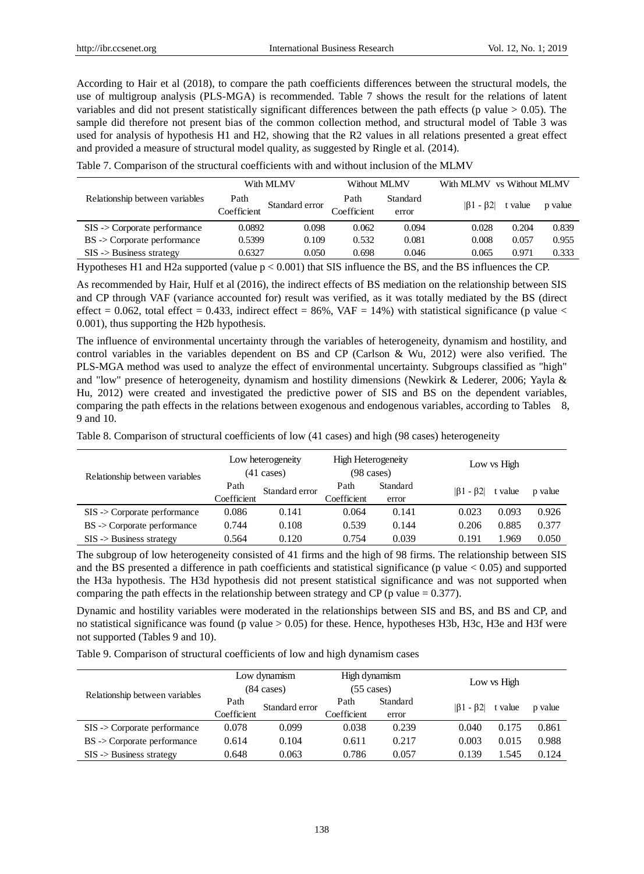According to Hair et al (2018), to compare the path coefficients differences between the structural models, the use of multigroup analysis (PLS-MGA) is recommended. Table 7 shows the result for the relations of latent variables and did not present statistically significant differences between the path effects (p value  $> 0.05$ ). The sample did therefore not present bias of the common collection method, and structural model of Table 3 was used for analysis of hypothesis H1 and H2, showing that the R2 values in all relations presented a great effect and provided a measure of structural model quality, as suggested by Ringle et al. (2014).

|                                        |             | With MLMV      | Without MLMV |          | With MLMV vs Without MLMV |         |         |  |
|----------------------------------------|-------------|----------------|--------------|----------|---------------------------|---------|---------|--|
| Relationship between variables         | Path        | Standard error | Path         | Standard | $ \beta_1 - \beta_2 $     | t value |         |  |
|                                        | Coefficient |                | Coefficient  | error    |                           |         | p value |  |
| $SIS$ -> Corporate performance         | 0.0892      | 0.098          | 0.062        | 0.094    | 0.028                     | 0.204   | 0.839   |  |
| $BS \rightarrow$ Corporate performance | 0.5399      | 0.109          | 0.532        | 0.081    | 0.008                     | 0.057   | 0.955   |  |
| $SIS$ -> Business strategy             | 0.6327      | 0.050          | 0.698        | 0.046    | 0.065                     | 0.971   | 0.333   |  |

Table 7. Comparison of the structural coefficients with and without inclusion of the MLMV

Hypotheses H1 and H2a supported (value p < 0.001) that SIS influence the BS, and the BS influences the CP.

As recommended by Hair, Hulf et al (2016), the indirect effects of BS mediation on the relationship between SIS and CP through VAF (variance accounted for) result was verified, as it was totally mediated by the BS (direct effect = 0.062, total effect = 0.433, indirect effect = 86%, VAF = 14%) with statistical significance (p value < 0.001), thus supporting the H2b hypothesis.

The influence of environmental uncertainty through the variables of heterogeneity, dynamism and hostility, and control variables in the variables dependent on BS and CP (Carlson & Wu, 2012) were also verified. The PLS-MGA method was used to analyze the effect of environmental uncertainty. Subgroups classified as "high" and "low" presence of heterogeneity, dynamism and hostility dimensions (Newkirk & Lederer, 2006; Yayla & Hu, 2012) were created and investigated the predictive power of SIS and BS on the dependent variables, comparing the path effects in the relations between exogenous and endogenous variables, according to Tables 8, 9 and 10.

Table 8. Comparison of structural coefficients of low (41 cases) and high (98 cases) heterogeneity

| Relationship between variables         |             | Low heterogeneity<br>$(41 \text{ cases})$ | <b>High Heterogeneity</b><br>$(98 \text{ cases})$ |          | Low vs High           |         |         |  |
|----------------------------------------|-------------|-------------------------------------------|---------------------------------------------------|----------|-----------------------|---------|---------|--|
|                                        | Path        | Standard error                            | Path                                              | Standard | $ \beta_1 - \beta_2 $ | t value | p value |  |
|                                        | Coefficient |                                           | Coefficient                                       | error    |                       |         |         |  |
| $SIS$ -> Corporate performance         | 0.086       | 0.141                                     | 0.064                                             | 0.141    | 0.023                 | 0.093   | 0.926   |  |
| $BS \rightarrow$ Corporate performance | 0.744       | 0.108                                     | 0.539                                             | 0.144    | 0.206                 | 0.885   | 0.377   |  |
| $SIS$ -> Business strategy             | 0.564       | 0.120                                     | 0.754                                             | 0.039    | 0.191                 | .969    | 0.050   |  |

The subgroup of low heterogeneity consisted of 41 firms and the high of 98 firms. The relationship between SIS and the BS presented a difference in path coefficients and statistical significance (p value  $< 0.05$ ) and supported the H3a hypothesis. The H3d hypothesis did not present statistical significance and was not supported when comparing the path effects in the relationship between strategy and CP (p value  $= 0.377$ ).

Dynamic and hostility variables were moderated in the relationships between SIS and BS, and BS and CP, and no statistical significance was found (p value > 0.05) for these. Hence, hypotheses H3b, H3c, H3e and H3f were not supported (Tables 9 and 10).

Table 9. Comparison of structural coefficients of low and high dynamism cases

| Relationship between variables         |             | Low dynamism<br>$(84 \text{ cases})$ | High dynamism<br>$(55 \text{ cases})$ |          | Low vs High           |         |         |
|----------------------------------------|-------------|--------------------------------------|---------------------------------------|----------|-----------------------|---------|---------|
|                                        | Path        | Standard error                       | Path                                  | Standard | $ \beta_1 - \beta_2 $ | t value | p value |
|                                        | Coefficient |                                      | Coefficient                           | error    |                       |         |         |
| $SIS$ -> Corporate performance         | 0.078       | 0.099                                | 0.038                                 | 0.239    | 0.040                 | 0.175   | 0.861   |
| $BS \rightarrow$ Corporate performance | 0.614       | 0.104                                | 0.611                                 | 0.217    | 0.003                 | 0.015   | 0.988   |
| $SIS$ -> Business strategy             | 0.648       | 0.063                                | 0.786                                 | 0.057    | 0.139                 | 1.545   | 0.124   |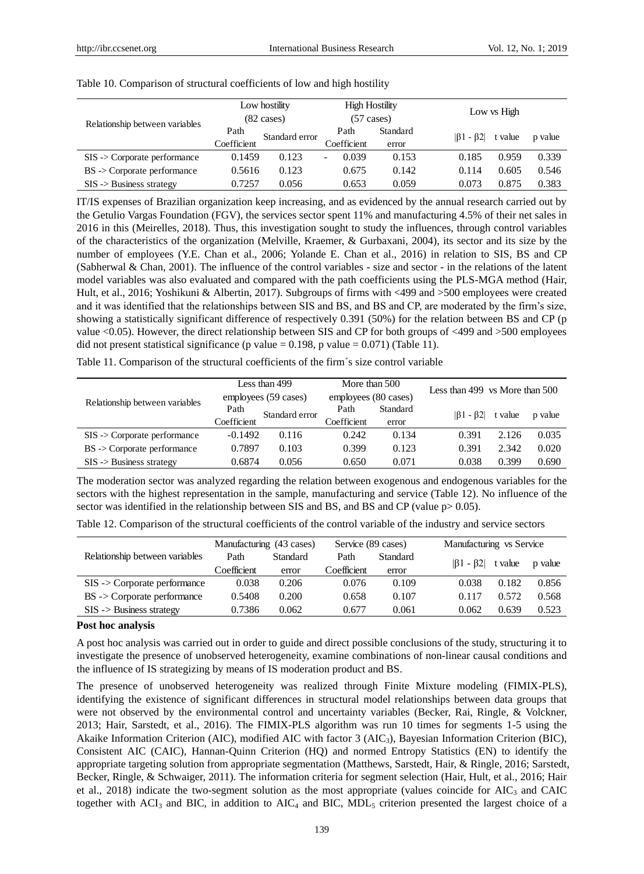| Relationship between variables         |             | Low hostility<br>$(82 \text{ cases})$ |             | <b>High Hostility</b><br>$(57 \text{ cases})$ | Low vs High                      |         |  |  |  |
|----------------------------------------|-------------|---------------------------------------|-------------|-----------------------------------------------|----------------------------------|---------|--|--|--|
|                                        | Path        | Standard error                        | Path        | Standard                                      | $ \beta_1 - \beta_2 $<br>t value | p value |  |  |  |
|                                        | Coefficient |                                       | Coefficient | error                                         |                                  |         |  |  |  |
| $SIS$ -> Corporate performance         | 0.1459      | 0.123                                 | 0.039       | 0.153                                         | 0.185<br>0.959                   | 0.339   |  |  |  |
| $BS \rightarrow$ Corporate performance | 0.5616      | 0.123                                 | 0.675       | 0.142                                         | 0.605<br>0.114                   | 0.546   |  |  |  |
| $SIS$ -> Business strategy             | 0.7257      | 0.056                                 | 0.653       | 0.059                                         | 0.875<br>0.073                   | 0.383   |  |  |  |

#### Table 10. Comparison of structural coefficients of low and high hostility

IT/IS expenses of Brazilian organization keep increasing, and as evidenced by the annual research carried out by the Getulio Vargas Foundation (FGV), the services sector spent 11% and manufacturing 4.5% of their net sales in 2016 in this (Meirelles, 2018). Thus, this investigation sought to study the influences, through control variables of the characteristics of the organization (Melville, Kraemer, & Gurbaxani, 2004), its sector and its size by the number of employees (Y.E. Chan et al., 2006; Yolande E. Chan et al., 2016) in relation to SIS, BS and CP (Sabherwal & Chan, 2001). The influence of the control variables - size and sector - in the relations of the latent model variables was also evaluated and compared with the path coefficients using the PLS-MGA method (Hair, Hult, et al., 2016; Yoshikuni & Albertin, 2017). Subgroups of firms with <499 and >500 employees were created and it was identified that the relationships between SIS and BS, and BS and CP, are moderated by the firm's size, showing a statistically significant difference of respectively 0.391 (50%) for the relation between BS and CP (p value <0.05). However, the direct relationship between SIS and CP for both groups of <499 and >500 employees did not present statistical significance (p value =  $0.198$ , p value =  $0.071$ ) (Table 11).

Table 11. Comparison of the structural coefficients of the firm´s size control variable

|                                        |             | Less than 499        | More than 500        |          |                                      |         |         |  |
|----------------------------------------|-------------|----------------------|----------------------|----------|--------------------------------------|---------|---------|--|
| Relationship between variables         |             | employees (59 cases) | employees (80 cases) |          | Less than 499 $\,\$ vs More than 500 |         |         |  |
|                                        | Path        | Standard error       | Path                 | Standard | $ \beta_1 - \beta_2 $                | t value | p value |  |
|                                        | Coefficient |                      | Coefficient          | error    |                                      |         |         |  |
| $SIS$ -> Corporate performance         | $-0.1492$   | 0.116                | 0.242                | 0.134    | 0.391                                | 2.126   | 0.035   |  |
| $BS \rightarrow$ Corporate performance | 0.7897      | 0.103                | 0.399                | 0.123    | 0.391                                | 2.342   | 0.020   |  |
| $SIS$ -> Business strategy             | 0.6874      | 0.056                | 0.650                | 0.071    | 0.038                                | 0.399   | 0.690   |  |

The moderation sector was analyzed regarding the relation between exogenous and endogenous variables for the sectors with the highest representation in the sample, manufacturing and service (Table 12). No influence of the sector was identified in the relationship between SIS and BS, and BS and CP (value  $p > 0.05$ ).

|  | Table 12. Comparison of the structural coefficients of the control variable of the industry and service sectors |  |  |  |
|--|-----------------------------------------------------------------------------------------------------------------|--|--|--|
|--|-----------------------------------------------------------------------------------------------------------------|--|--|--|

|                                        | Manufacturing (43 cases) |                 | Service (89 cases) |          |                       | Manufacturing vs Service |         |  |  |
|----------------------------------------|--------------------------|-----------------|--------------------|----------|-----------------------|--------------------------|---------|--|--|
| Relationship between variables         | Path                     | <b>Standard</b> | Path               | Standard | $ \beta_1 - \beta_2 $ | t value                  | p value |  |  |
|                                        | Coefficient              | error           | Coefficient        | error    |                       |                          |         |  |  |
| $SIS$ -> Corporate performance         | 0.038                    | 0.206           | 0.076              | 0.109    | 0.038                 | 0.182                    | 0.856   |  |  |
| $BS \rightarrow$ Corporate performance | 0.5408                   | 0.200           | 0.658              | 0.107    | 0.117                 | 0.572                    | 0.568   |  |  |
| $SIS$ -> Business strategy             | 0.7386                   | 0.062           | 0.677              | 0.061    | 0.062                 | 0.639                    | 0.523   |  |  |

#### **Post hoc analysis**

A post hoc analysis was carried out in order to guide and direct possible conclusions of the study, structuring it to investigate the presence of unobserved heterogeneity, examine combinations of non-linear causal conditions and the influence of IS strategizing by means of IS moderation product and BS.

The presence of unobserved heterogeneity was realized through Finite Mixture modeling (FIMIX-PLS), identifying the existence of significant differences in structural model relationships between data groups that were not observed by the environmental control and uncertainty variables (Becker, Rai, Ringle, & Volckner, 2013; Hair, Sarstedt, et al., 2016). The FIMIX-PLS algorithm was run 10 times for segments 1-5 using the Akaike Information Criterion (AIC), modified AIC with factor 3 (AIC3), Bayesian Information Criterion (BIC), Consistent AIC (CAIC), Hannan-Quinn Criterion (HQ) and normed Entropy Statistics (EN) to identify the appropriate targeting solution from appropriate segmentation (Matthews, Sarstedt, Hair, & Ringle, 2016; Sarstedt, Becker, Ringle, & Schwaiger, 2011). The information criteria for segment selection (Hair, Hult, et al., 2016; Hair et al., 2018) indicate the two-segment solution as the most appropriate (values coincide for  $AIC<sub>3</sub>$  and CAIC together with  $ACI_3$  and BIC, in addition to  $AIC_4$  and BIC,  $MDL_5$  criterion presented the largest choice of a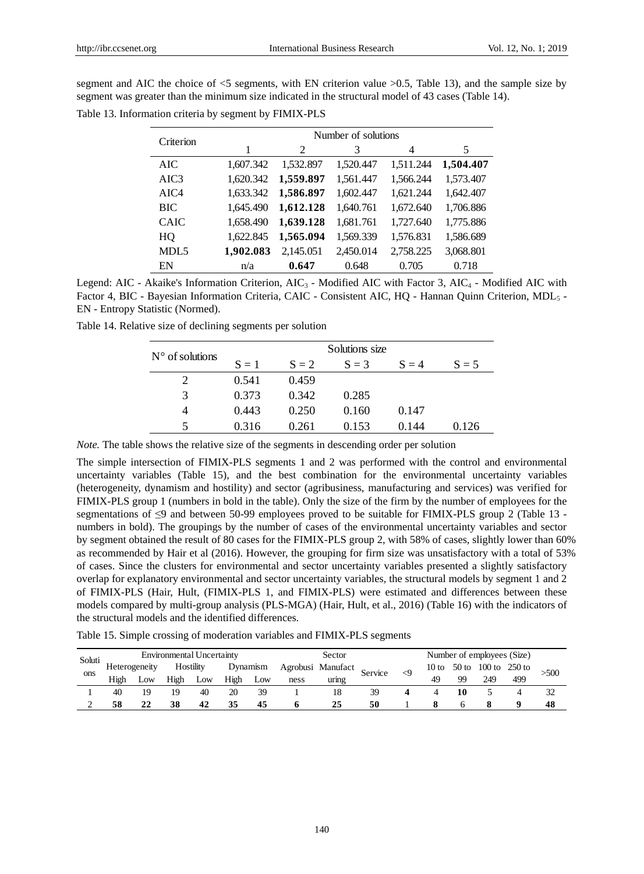|  |  | segment and AIC the choice of $\leq$ 5 segments, with EN criterion value $>0.5$ , Table 13), and the sample size by |  |  |  |  |  |  |
|--|--|---------------------------------------------------------------------------------------------------------------------|--|--|--|--|--|--|
|  |  | segment was greater than the minimum size indicated in the structural model of 43 cases (Table 14).                 |  |  |  |  |  |  |

| Criterion        |           | Number of solutions |           |           |           |  |  |  |  |  |  |
|------------------|-----------|---------------------|-----------|-----------|-----------|--|--|--|--|--|--|
|                  |           | $\mathcal{L}$       | 3         | 4         | 5         |  |  |  |  |  |  |
| AIC.             | 1,607.342 | 1,532.897           | 1,520.447 | 1,511.244 | 1,504.407 |  |  |  |  |  |  |
| AIC <sub>3</sub> | 1,620.342 | 1,559.897           | 1,561.447 | 1,566.244 | 1,573.407 |  |  |  |  |  |  |
| AIC4             | 1,633.342 | 1,586.897           | 1,602.447 | 1,621.244 | 1,642.407 |  |  |  |  |  |  |
| <b>BIC</b>       | 1,645.490 | 1,612.128           | 1,640.761 | 1,672.640 | 1,706.886 |  |  |  |  |  |  |
| <b>CAIC</b>      | 1,658.490 | 1,639.128           | 1,681.761 | 1,727.640 | 1,775.886 |  |  |  |  |  |  |
| HO               | 1,622.845 | 1,565.094           | 1,569.339 | 1,576.831 | 1,586.689 |  |  |  |  |  |  |
| MDL <sub>5</sub> | 1,902.083 | 2,145.051           | 2,450.014 | 2,758.225 | 3,068.801 |  |  |  |  |  |  |
| EN               | n/a       | 0.647               | 0.648     | 0.705     | 0.718     |  |  |  |  |  |  |

Table 13. Information criteria by segment by FIMIX-PLS

Legend: AIC - Akaike's Information Criterion, AIC<sub>3</sub> - Modified AIC with Factor 3, AIC<sub>4</sub> - Modified AIC with Factor 4, BIC - Bayesian Information Criteria, CAIC - Consistent AIC, HQ - Hannan Quinn Criterion, MDL<sub>5</sub> -EN - Entropy Statistic (Normed).

| Table 14. Relative size of declining segments per solution |  |  |
|------------------------------------------------------------|--|--|
|------------------------------------------------------------|--|--|

| $N^{\circ}$ of solutions |         |         | Solutions size |         |         |
|--------------------------|---------|---------|----------------|---------|---------|
|                          | $S = 1$ | $S = 2$ | $S = 3$        | $S = 4$ | $S = 5$ |
| $\overline{2}$           | 0.541   | 0.459   |                |         |         |
| 3                        | 0.373   | 0.342   | 0.285          |         |         |
| 4                        | 0.443   | 0.250   | 0.160          | 0.147   |         |
| $\overline{\phantom{1}}$ | 0.316   | 0.261   | 0.153          | 0.144   | 0.126   |

*Note.* The table shows the relative size of the segments in descending order per solution

The simple intersection of FIMIX-PLS segments 1 and 2 was performed with the control and environmental uncertainty variables (Table 15), and the best combination for the environmental uncertainty variables (heterogeneity, dynamism and hostility) and sector (agribusiness, manufacturing and services) was verified for FIMIX-PLS group 1 (numbers in bold in the table). Only the size of the firm by the number of employees for the segmentations of  $\leq$ 9 and between 50-99 employees proved to be suitable for FIMIX-PLS group 2 (Table 13 numbers in bold). The groupings by the number of cases of the environmental uncertainty variables and sector by segment obtained the result of 80 cases for the FIMIX-PLS group 2, with 58% of cases, slightly lower than 60% as recommended by Hair et al (2016). However, the grouping for firm size was unsatisfactory with a total of 53% of cases. Since the clusters for environmental and sector uncertainty variables presented a slightly satisfactory overlap for explanatory environmental and sector uncertainty variables, the structural models by segment 1 and 2 of FIMIX-PLS (Hair, Hult, (FIMIX-PLS 1, and FIMIX-PLS) were estimated and differences between these models compared by multi-group analysis (PLS-MGA) (Hair, Hult, et al., 2016) (Table 16) with the indicators of the structural models and the identified differences.

Table 15. Simple crossing of moderation variables and FIMIX-PLS segments

|        |                                  |               |      |           |      |          |        | Table 15. Simple crossing of moderation variables and FIMIX-PLS segments |         |                            |         |    |                     |     |      |
|--------|----------------------------------|---------------|------|-----------|------|----------|--------|--------------------------------------------------------------------------|---------|----------------------------|---------|----|---------------------|-----|------|
| Soluti | <b>Environmental Uncertainty</b> |               |      |           |      |          | Sector |                                                                          |         | Number of employees (Size) |         |    |                     |     |      |
| ons    |                                  | Heterogeneity |      | Hostility |      | Dynamism |        | Agrobusi Manufact                                                        | Service | $\leq$                     | $10$ to |    | 50 to 100 to 250 to |     | >500 |
|        | High                             | Low           | High | Low       | High | Low      | ness   | uring                                                                    |         |                            | 49      | 99 | 249                 | 499 |      |
|        | 40                               | 19            | 19   | 40        | 20   | 39       |        | 18                                                                       | 39      | 4                          |         | 10 |                     | 4   | 32   |
|        | 58                               | 22            | 38   | 42        | 35   | 45       | 6      | 25                                                                       | 50      |                            | 8       | h  | 8                   | Q   | 48   |
|        |                                  |               |      |           |      |          |        |                                                                          |         |                            |         |    |                     |     |      |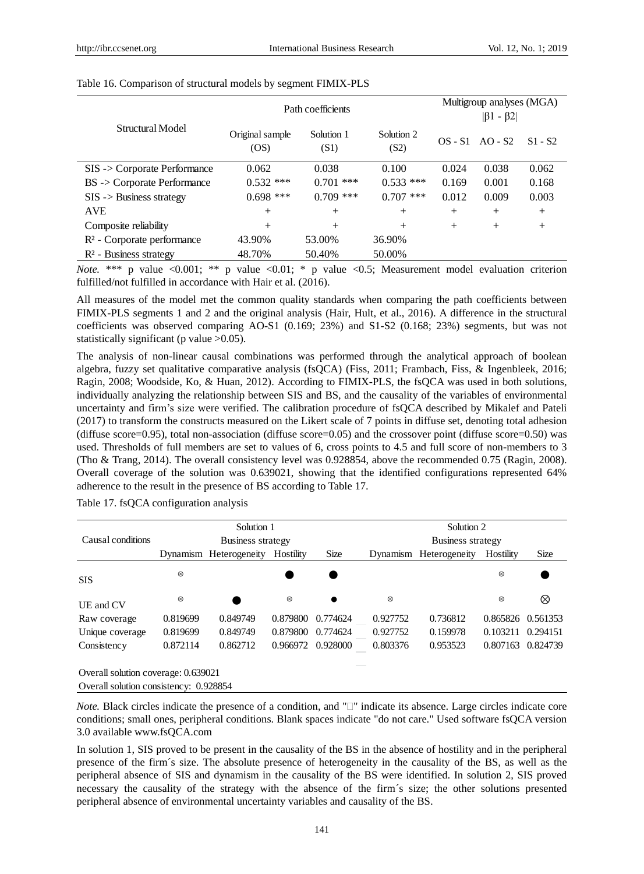|                                        |                                              | Path coefficients | Multigroup analyses (MGA)<br>$ \beta_1 - \beta_2 $ |           |           |           |
|----------------------------------------|----------------------------------------------|-------------------|----------------------------------------------------|-----------|-----------|-----------|
| Structural Model                       | Solution 1<br>Original sample<br>OS)<br>(S1) |                   | Solution 2<br>(S2)                                 | $OS - S1$ | $AO - S2$ | $S1 - S2$ |
| SIS -> Corporate Performance           | 0.062                                        | 0.038             | 0.100                                              | 0.024     | 0.038     | 0.062     |
| BS -> Corporate Performance            | $0.532$ ***                                  | $0.701$ ***       | $0.533$ ***                                        | 0.169     | 0.001     | 0.168     |
| $SIS$ -> Business strategy             | $0.698$ ***                                  | $0.709$ ***       | $0.707$ ***                                        | 0.012     | 0.009     | 0.003     |
| <b>AVE</b>                             | $^{+}$                                       | $^{+}$            | $^{+}$                                             | $^{+}$    | $+$       | $^{+}$    |
| Composite reliability                  | $^{+}$                                       | $^{+}$            | $^{+}$                                             | $^{+}$    | $+$       | $^{+}$    |
| R <sup>2</sup> - Corporate performance | 43.90%                                       | 53.00%            | 36.90%                                             |           |           |           |
| R <sup>2</sup> - Business strategy     | 48.70%                                       | 50.40%            | 50.00%                                             |           |           |           |

Table 16. Comparison of structural models by segment FIMIX-PLS

*Note.* \*\*\* p value <0.001; \*\* p value <0.01; \* p value <0.5; Measurement model evaluation criterion fulfilled/not fulfilled in accordance with Hair et al. (2016).

All measures of the model met the common quality standards when comparing the path coefficients between FIMIX-PLS segments 1 and 2 and the original analysis (Hair, Hult, et al., 2016). A difference in the structural coefficients was observed comparing AO-S1 (0.169; 23%) and S1-S2 (0.168; 23%) segments, but was not statistically significant (p value > 0.05).

The analysis of non-linear causal combinations was performed through the analytical approach of boolean algebra, fuzzy set qualitative comparative analysis (fsQCA) (Fiss, 2011; Frambach, Fiss, & Ingenbleek, 2016; Ragin, 2008; Woodside, Ko, & Huan, 2012). According to FIMIX-PLS, the fsQCA was used in both solutions, individually analyzing the relationship between SIS and BS, and the causality of the variables of environmental uncertainty and firm's size were verified. The calibration procedure of fsQCA described by Mikalef and Pateli (2017) to transform the constructs measured on the Likert scale of 7 points in diffuse set, denoting total adhesion (diffuse score=0.95), total non-association (diffuse score=0.05) and the crossover point (diffuse score=0.50) was used. Thresholds of full members are set to values of 6, cross points to 4.5 and full score of non-members to 3 (Tho & Trang, 2014). The overall consistency level was 0.928854, above the recommended 0.75 (Ragin, 2008). Overall coverage of the solution was 0.639021, showing that the identified configurations represented 64% adherence to the result in the presence of BS according to Table 17.

|                                        |           | Solution 1             |           |             |            | Solution 2             |            |             |
|----------------------------------------|-----------|------------------------|-----------|-------------|------------|------------------------|------------|-------------|
| Causal conditions                      |           | Business strategy      |           |             |            | Business strategy      |            |             |
|                                        |           | Dynamism Heterogeneity | Hostility | <b>Size</b> |            | Dynamism Heterogeneity | Hostility  | <b>Size</b> |
| <b>SIS</b>                             | $\otimes$ |                        |           |             |            |                        | $^{\circ}$ |             |
| UE and CV                              | ⊗         |                        | ⊗         |             | $^{\circ}$ |                        | $^{\circ}$ | ⊗           |
| Raw coverage                           | 0.819699  | 0.849749               | 0.879800  | 0.774624    | 0.927752   | 0.736812               | 0.865826   | 0.561353    |
| Unique coverage                        | 0.819699  | 0.849749               | 0.879800  | 0.774624    | 0.927752   | 0.159978               | 0.103211   | 0.294151    |
| Consistency                            | 0.872114  | 0.862712               | 0.966972  | 0.928000    | 0.803376   | 0.953523               | 0.807163   | 0.824739    |
| Overall solution coverage: 0.639021    |           |                        |           |             |            |                        |            |             |
| Overall solution consistency: 0.928854 |           |                        |           |             |            |                        |            |             |

Table 17. fsQCA configuration analysis

*Note.* Black circles indicate the presence of a condition, and  $T$  indicate its absence. Large circles indicate core conditions; small ones, peripheral conditions. Blank spaces indicate "do not care." Used software fsQCA version 3.0 available www.fsQCA.com

In solution 1, SIS proved to be present in the causality of the BS in the absence of hostility and in the peripheral presence of the firm´s size. The absolute presence of heterogeneity in the causality of the BS, as well as the peripheral absence of SIS and dynamism in the causality of the BS were identified. In solution 2, SIS proved necessary the causality of the strategy with the absence of the firm  $\hat{s}$  size; the other solutions presented peripheral absence of environmental uncertainty variables and causality of the BS.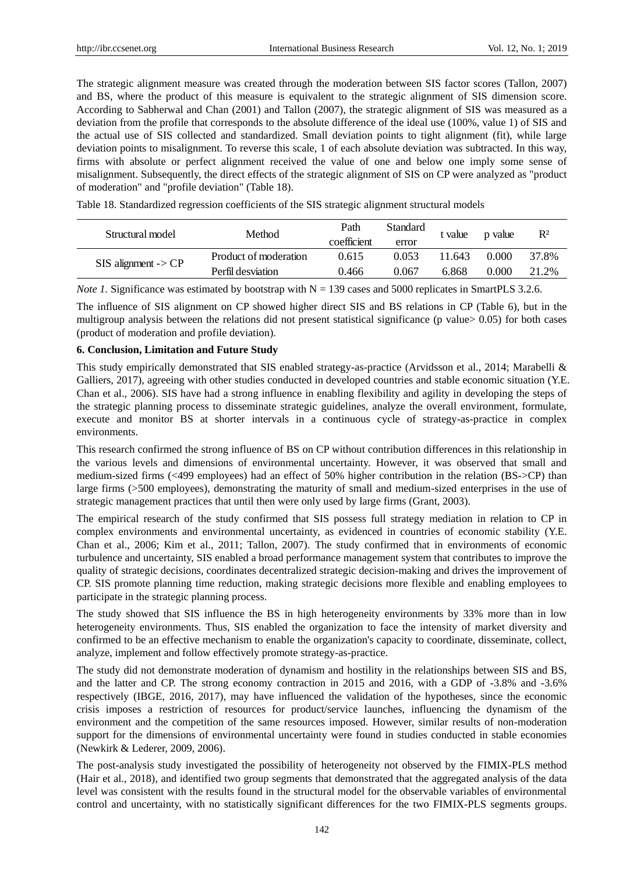The strategic alignment measure was created through the moderation between SIS factor scores (Tallon, 2007) and BS, where the product of this measure is equivalent to the strategic alignment of SIS dimension score. According to Sabherwal and Chan (2001) and Tallon (2007), the strategic alignment of SIS was measured as a deviation from the profile that corresponds to the absolute difference of the ideal use (100%, value 1) of SIS and the actual use of SIS collected and standardized. Small deviation points to tight alignment (fit), while large deviation points to misalignment. To reverse this scale, 1 of each absolute deviation was subtracted. In this way, firms with absolute or perfect alignment received the value of one and below one imply some sense of misalignment. Subsequently, the direct effects of the strategic alignment of SIS on CP were analyzed as "product of moderation" and "profile deviation" (Table 18).

Table 18. Standardized regression coefficients of the SIS strategic alignment structural models

| Structural model                 | Method                | Path<br>coefficient | <b>Standard</b><br>error | t value | p value | R <sup>2</sup> |
|----------------------------------|-----------------------|---------------------|--------------------------|---------|---------|----------------|
| $SIS$ alignment $\rightarrow CP$ | Product of moderation | 0.615               | 0.053                    | 1.643   | 0.000   | 37.8%          |
|                                  | Perfil desviation     | 0.466               | 0.067                    | 6.868   | 0.000   | 21.2%          |
|                                  |                       |                     |                          |         |         |                |

*Note 1.* Significance was estimated by bootstrap with  $N = 139$  cases and 5000 replicates in SmartPLS 3.2.6.

The influence of SIS alignment on CP showed higher direct SIS and BS relations in CP (Table 6), but in the multigroup analysis between the relations did not present statistical significance (p value> 0.05) for both cases (product of moderation and profile deviation).

# **6. Conclusion, Limitation and Future Study**

This study empirically demonstrated that SIS enabled strategy-as-practice (Arvidsson et al., 2014; Marabelli & Galliers, 2017), agreeing with other studies conducted in developed countries and stable economic situation (Y.E. Chan et al., 2006). SIS have had a strong influence in enabling flexibility and agility in developing the steps of the strategic planning process to disseminate strategic guidelines, analyze the overall environment, formulate, execute and monitor BS at shorter intervals in a continuous cycle of strategy-as-practice in complex environments.

This research confirmed the strong influence of BS on CP without contribution differences in this relationship in the various levels and dimensions of environmental uncertainty. However, it was observed that small and medium-sized firms (<499 employees) had an effect of 50% higher contribution in the relation (BS->CP) than large firms (>500 employees), demonstrating the maturity of small and medium-sized enterprises in the use of strategic management practices that until then were only used by large firms (Grant, 2003).

The empirical research of the study confirmed that SIS possess full strategy mediation in relation to CP in complex environments and environmental uncertainty, as evidenced in countries of economic stability (Y.E. Chan et al., 2006; Kim et al., 2011; Tallon, 2007). The study confirmed that in environments of economic turbulence and uncertainty, SIS enabled a broad performance management system that contributes to improve the quality of strategic decisions, coordinates decentralized strategic decision-making and drives the improvement of CP. SIS promote planning time reduction, making strategic decisions more flexible and enabling employees to participate in the strategic planning process.

The study showed that SIS influence the BS in high heterogeneity environments by 33% more than in low heterogeneity environments. Thus, SIS enabled the organization to face the intensity of market diversity and confirmed to be an effective mechanism to enable the organization's capacity to coordinate, disseminate, collect, analyze, implement and follow effectively promote strategy-as-practice.

The study did not demonstrate moderation of dynamism and hostility in the relationships between SIS and BS, and the latter and CP. The strong economy contraction in 2015 and 2016, with a GDP of -3.8% and -3.6% respectively (IBGE, 2016, 2017), may have influenced the validation of the hypotheses, since the economic crisis imposes a restriction of resources for product/service launches, influencing the dynamism of the environment and the competition of the same resources imposed. However, similar results of non-moderation support for the dimensions of environmental uncertainty were found in studies conducted in stable economies (Newkirk & Lederer, 2009, 2006).

The post-analysis study investigated the possibility of heterogeneity not observed by the FIMIX-PLS method (Hair et al., 2018), and identified two group segments that demonstrated that the aggregated analysis of the data level was consistent with the results found in the structural model for the observable variables of environmental control and uncertainty, with no statistically significant differences for the two FIMIX-PLS segments groups.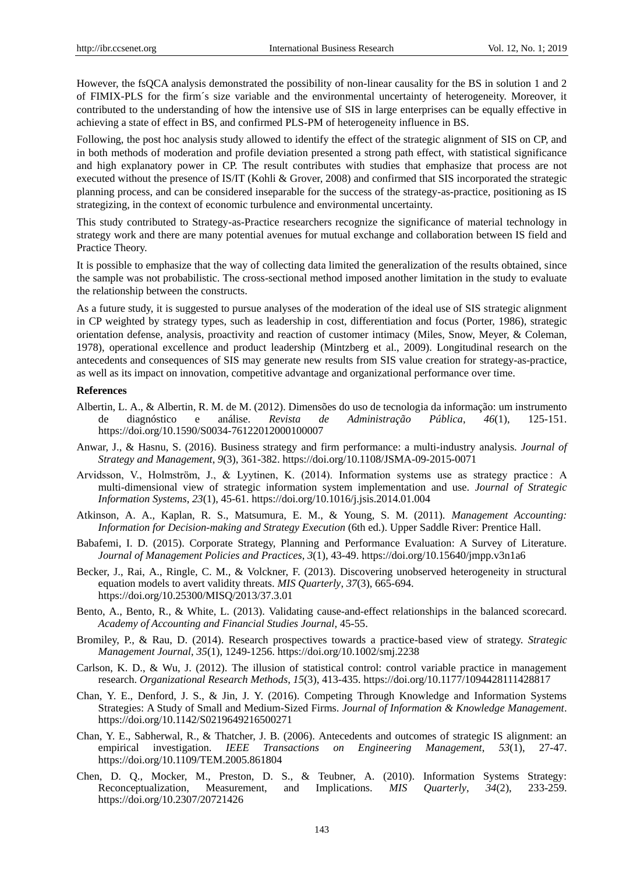However, the fsQCA analysis demonstrated the possibility of non-linear causality for the BS in solution 1 and 2 of FIMIX-PLS for the firm´s size variable and the environmental uncertainty of heterogeneity. Moreover, it contributed to the understanding of how the intensive use of SIS in large enterprises can be equally effective in achieving a state of effect in BS, and confirmed PLS-PM of heterogeneity influence in BS.

Following, the post hoc analysis study allowed to identify the effect of the strategic alignment of SIS on CP, and in both methods of moderation and profile deviation presented a strong path effect, with statistical significance and high explanatory power in CP. The result contributes with studies that emphasize that process are not executed without the presence of IS/IT (Kohli & Grover, 2008) and confirmed that SIS incorporated the strategic planning process, and can be considered inseparable for the success of the strategy-as-practice, positioning as IS strategizing, in the context of economic turbulence and environmental uncertainty.

This study contributed to Strategy-as-Practice researchers recognize the significance of material technology in strategy work and there are many potential avenues for mutual exchange and collaboration between IS field and Practice Theory.

It is possible to emphasize that the way of collecting data limited the generalization of the results obtained, since the sample was not probabilistic. The cross-sectional method imposed another limitation in the study to evaluate the relationship between the constructs.

As a future study, it is suggested to pursue analyses of the moderation of the ideal use of SIS strategic alignment in CP weighted by strategy types, such as leadership in cost, differentiation and focus (Porter, 1986), strategic orientation defense, analysis, proactivity and reaction of customer intimacy (Miles, Snow, Meyer, & Coleman, 1978), operational excellence and product leadership (Mintzberg et al., 2009). Longitudinal research on the antecedents and consequences of SIS may generate new results from SIS value creation for strategy-as-practice, as well as its impact on innovation, competitive advantage and organizational performance over time.

#### **References**

- Albertin, L. A., & Albertin, R. M. de M. (2012). Dimensões do uso de tecnologia da informação: um instrumento de diagnóstico e análise. *Revista de Administração Pública*, *46*(1), 125-151. https://doi.org/10.1590/S0034-76122012000100007
- Anwar, J., & Hasnu, S. (2016). Business strategy and firm performance: a multi-industry analysis. *Journal of Strategy and Management*, *9*(3), 361-382. https://doi.org/10.1108/JSMA-09-2015-0071
- Arvidsson, V., Holmström, J., & Lyytinen, K. (2014). Information systems use as strategy practice : A multi-dimensional view of strategic information system implementation and use. *Journal of Strategic Information Systems*, *23*(1), 45-61. https://doi.org/10.1016/j.jsis.2014.01.004
- Atkinson, A. A., Kaplan, R. S., Matsumura, E. M., & Young, S. M. (2011). *Management Accounting: Information for Decision-making and Strategy Execution* (6th ed.). Upper Saddle River: Prentice Hall.
- Babafemi, I. D. (2015). Corporate Strategy, Planning and Performance Evaluation: A Survey of Literature. *Journal of Management Policies and Practices*, *3*(1), 43-49. https://doi.org/10.15640/jmpp.v3n1a6
- Becker, J., Rai, A., Ringle, C. M., & Volckner, F. (2013). Discovering unobserved heterogeneity in structural equation models to avert validity threats. *MIS Quarterly*, *37*(3), 665-694. https://doi.org/10.25300/MISQ/2013/37.3.01
- Bento, A., Bento, R., & White, L. (2013). Validating cause-and-effect relationships in the balanced scorecard. *Academy of Accounting and Financial Studies Journal*, 45-55.
- Bromiley, P., & Rau, D. (2014). Research prospectives towards a practice-based view of strategy. *Strategic Management Journal*, *35*(1), 1249-1256. https://doi.org/10.1002/smj.2238
- Carlson, K. D., & Wu, J. (2012). The illusion of statistical control: control variable practice in management research. *Organizational Research Methods*, *15*(3), 413-435. https://doi.org/10.1177/1094428111428817
- Chan, Y. E., Denford, J. S., & Jin, J. Y. (2016). Competing Through Knowledge and Information Systems Strategies: A Study of Small and Medium-Sized Firms. *Journal of Information & Knowledge Management*. https://doi.org/10.1142/S0219649216500271
- Chan, Y. E., Sabherwal, R., & Thatcher, J. B. (2006). Antecedents and outcomes of strategic IS alignment: an empirical investigation. *IEEE Transactions on Engineering Management*, *53*(1), 27-47. https://doi.org/10.1109/TEM.2005.861804
- Chen, D. Q., Mocker, M., Preston, D. S., & Teubner, A. (2010). Information Systems Strategy: Reconceptualization, Measurement, and Implications. *MIS Quarterly*, *34*(2), 233-259. https://doi.org/10.2307/20721426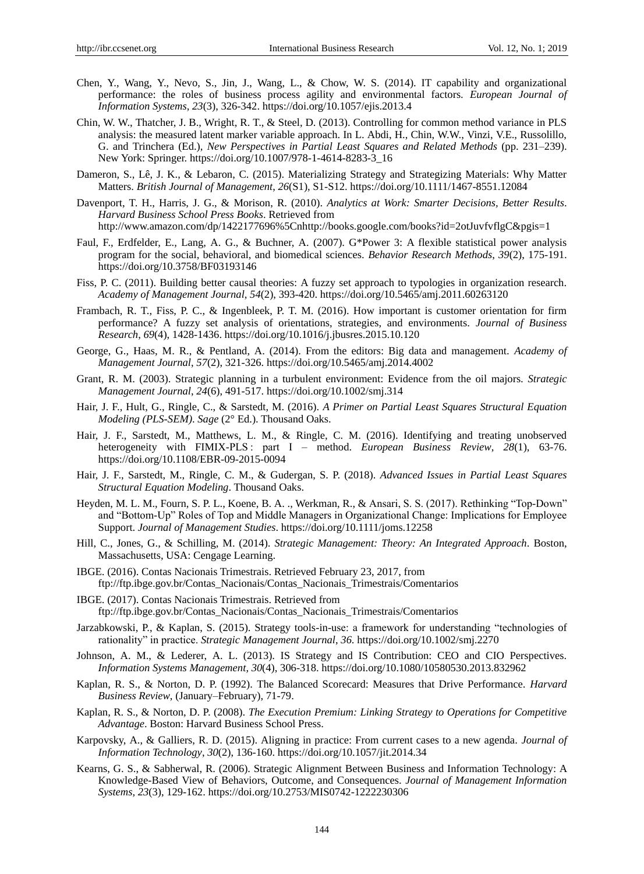- Chen, Y., Wang, Y., Nevo, S., Jin, J., Wang, L., & Chow, W. S. (2014). IT capability and organizational performance: the roles of business process agility and environmental factors. *European Journal of Information Systems*, *23*(3), 326-342. https://doi.org/10.1057/ejis.2013.4
- Chin, W. W., Thatcher, J. B., Wright, R. T., & Steel, D. (2013). Controlling for common method variance in PLS analysis: the measured latent marker variable approach. In L. Abdi, H., Chin, W.W., Vinzi, V.E., Russolillo, G. and Trinchera (Ed.), *New Perspectives in Partial Least Squares and Related Methods* (pp. 231–239). New York: Springer. https://doi.org/10.1007/978-1-4614-8283-3\_16
- Dameron, S., Lê, J. K., & Lebaron, C. (2015). Materializing Strategy and Strategizing Materials: Why Matter Matters. *British Journal of Management*, *26*(S1), S1-S12. https://doi.org/10.1111/1467-8551.12084
- Davenport, T. H., Harris, J. G., & Morison, R. (2010). *Analytics at Work: Smarter Decisions, Better Results*. *Harvard Business School Press Books*. Retrieved from http://www.amazon.com/dp/1422177696%5Cnhttp://books.google.com/books?id=2otJuvfvflgC&pgis=1
- Faul, F., Erdfelder, E., Lang, A. G., & Buchner, A. (2007). G\*Power 3: A flexible statistical power analysis program for the social, behavioral, and biomedical sciences. *Behavior Research Methods*, *39*(2), 175-191. https://doi.org/10.3758/BF03193146
- Fiss, P. C. (2011). Building better causal theories: A fuzzy set approach to typologies in organization research. *Academy of Management Journal*, *54*(2), 393-420. https://doi.org/10.5465/amj.2011.60263120
- Frambach, R. T., Fiss, P. C., & Ingenbleek, P. T. M. (2016). How important is customer orientation for firm performance? A fuzzy set analysis of orientations, strategies, and environments. *Journal of Business Research*, *69*(4), 1428-1436. https://doi.org/10.1016/j.jbusres.2015.10.120
- George, G., Haas, M. R., & Pentland, A. (2014). From the editors: Big data and management. *Academy of Management Journal*, *57*(2), 321-326. https://doi.org/10.5465/amj.2014.4002
- Grant, R. M. (2003). Strategic planning in a turbulent environment: Evidence from the oil majors. *Strategic Management Journal*, *24*(6), 491-517. https://doi.org/10.1002/smj.314
- Hair, J. F., Hult, G., Ringle, C., & Sarstedt, M. (2016). *A Primer on Partial Least Squares Structural Equation Modeling (PLS-SEM)*. *Sage* (2° Ed.). Thousand Oaks.
- Hair, J. F., Sarstedt, M., Matthews, L. M., & Ringle, C. M. (2016). Identifying and treating unobserved heterogeneity with FIMIX-PLS : part I – method. *European Business Review*, *28*(1), 63-76. https://doi.org/10.1108/EBR-09-2015-0094
- Hair, J. F., Sarstedt, M., Ringle, C. M., & Gudergan, S. P. (2018). *Advanced Issues in Partial Least Squares Structural Equation Modeling*. Thousand Oaks.
- Heyden, M. L. M., Fourn, S. P. L., Koene, B. A. ., Werkman, R., & Ansari, S. S. (2017). Rethinking "Top-Down" and "Bottom-Up" Roles of Top and Middle Managers in Organizational Change: Implications for Employee Support. *Journal of Management Studies*. https://doi.org/10.1111/joms.12258
- Hill, C., Jones, G., & Schilling, M. (2014). *Strategic Management: Theory: An Integrated Approach*. Boston, Massachusetts, USA: Cengage Learning.
- IBGE. (2016). Contas Nacionais Trimestrais. Retrieved February 23, 2017, from ftp://ftp.ibge.gov.br/Contas\_Nacionais/Contas\_Nacionais\_Trimestrais/Comentarios
- IBGE. (2017). Contas Nacionais Trimestrais. Retrieved from ftp://ftp.ibge.gov.br/Contas\_Nacionais/Contas\_Nacionais\_Trimestrais/Comentarios
- Jarzabkowski, P., & Kaplan, S. (2015). Strategy tools-in-use: a framework for understanding "technologies of rationality" in practice. *Strategic Management Journal*, *36*. https://doi.org/10.1002/smj.2270
- Johnson, A. M., & Lederer, A. L. (2013). IS Strategy and IS Contribution: CEO and CIO Perspectives. *Information Systems Management*, *30*(4), 306-318. https://doi.org/10.1080/10580530.2013.832962
- Kaplan, R. S., & Norton, D. P. (1992). The Balanced Scorecard: Measures that Drive Performance. *Harvard Business Review*, (January–February), 71-79.
- Kaplan, R. S., & Norton, D. P. (2008). *The Execution Premium: Linking Strategy to Operations for Competitive Advantage*. Boston: Harvard Business School Press.
- Karpovsky, A., & Galliers, R. D. (2015). Aligning in practice: From current cases to a new agenda. *Journal of Information Technology*, *30*(2), 136-160. https://doi.org/10.1057/jit.2014.34
- Kearns, G. S., & Sabherwal, R. (2006). Strategic Alignment Between Business and Information Technology: A Knowledge-Based View of Behaviors, Outcome, and Consequences. *Journal of Management Information Systems*, *23*(3), 129-162. https://doi.org/10.2753/MIS0742-1222230306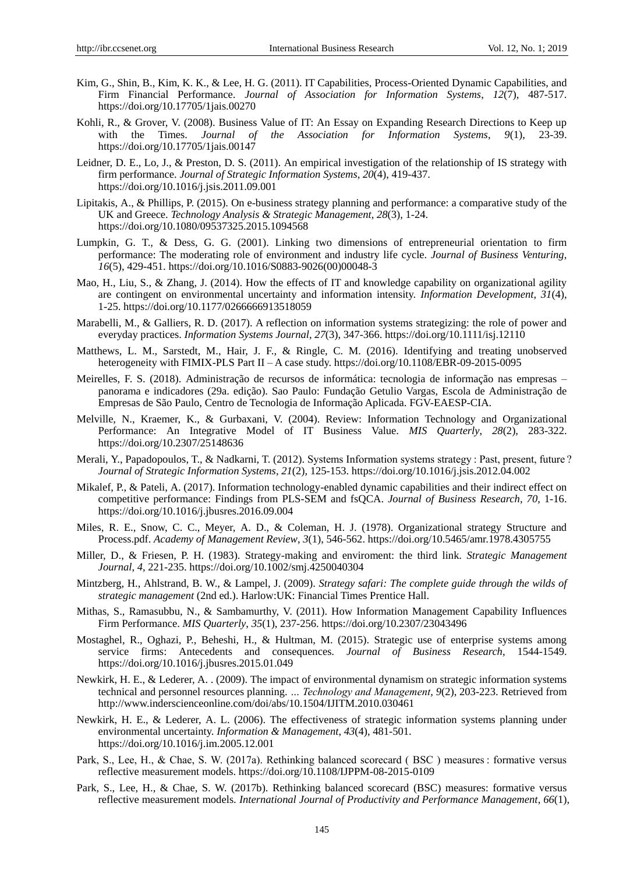- Kim, G., Shin, B., Kim, K. K., & Lee, H. G. (2011). IT Capabilities, Process-Oriented Dynamic Capabilities, and Firm Financial Performance. *Journal of Association for Information Systems*, *12*(7), 487-517. https://doi.org/10.17705/1jais.00270
- Kohli, R., & Grover, V. (2008). Business Value of IT: An Essay on Expanding Research Directions to Keep up with the Times. *Journal of the Association for Information Systems*, *9*(1), 23-39. https://doi.org/10.17705/1jais.00147
- Leidner, D. E., Lo, J., & Preston, D. S. (2011). An empirical investigation of the relationship of IS strategy with firm performance. *Journal of Strategic Information Systems*, *20*(4), 419-437. https://doi.org/10.1016/j.jsis.2011.09.001
- Lipitakis, A., & Phillips, P. (2015). On e-business strategy planning and performance: a comparative study of the UK and Greece. *Technology Analysis & Strategic Management*, *28*(3), 1-24. https://doi.org/10.1080/09537325.2015.1094568
- Lumpkin, G. T., & Dess, G. G. (2001). Linking two dimensions of entrepreneurial orientation to firm performance: The moderating role of environment and industry life cycle. *Journal of Business Venturing*, *16*(5), 429-451. https://doi.org/10.1016/S0883-9026(00)00048-3
- Mao, H., Liu, S., & Zhang, J. (2014). How the effects of IT and knowledge capability on organizational agility are contingent on environmental uncertainty and information intensity. *Information Development*, *31*(4), 1-25. https://doi.org/10.1177/0266666913518059
- Marabelli, M., & Galliers, R. D. (2017). A reflection on information systems strategizing: the role of power and everyday practices. *Information Systems Journal*, *27*(3), 347-366. https://doi.org/10.1111/isj.12110
- Matthews, L. M., Sarstedt, M., Hair, J. F., & Ringle, C. M. (2016). Identifying and treating unobserved heterogeneity with FIMIX-PLS Part II – A case study. https://doi.org/10.1108/EBR-09-2015-0095
- Meirelles, F. S. (2018). Administração de recursos de informática: tecnologia de informação nas empresas panorama e indicadores (29a. edição). Sao Paulo: Fundação Getulio Vargas, Escola de Administração de Empresas de São Paulo, Centro de Tecnologia de Informação Aplicada. FGV-EAESP-CIA.
- Melville, N., Kraemer, K., & Gurbaxani, V. (2004). Review: Information Technology and Organizational Performance: An Integrative Model of IT Business Value. *MIS Quarterly*, *28*(2), 283-322. https://doi.org/10.2307/25148636
- Merali, Y., Papadopoulos, T., & Nadkarni, T. (2012). Systems Information systems strategy : Past, present, future ? *Journal of Strategic Information Systems*, *21*(2), 125-153. https://doi.org/10.1016/j.jsis.2012.04.002
- Mikalef, P., & Pateli, A. (2017). Information technology-enabled dynamic capabilities and their indirect effect on competitive performance: Findings from PLS-SEM and fsQCA. *Journal of Business Research*, *70*, 1-16. https://doi.org/10.1016/j.jbusres.2016.09.004
- Miles, R. E., Snow, C. C., Meyer, A. D., & Coleman, H. J. (1978). Organizational strategy Structure and Process.pdf. *Academy of Management Review*, *3*(1), 546-562. https://doi.org/10.5465/amr.1978.4305755
- Miller, D., & Friesen, P. H. (1983). Strategy-making and enviroment: the third link. *Strategic Management Journal*, *4*, 221-235. https://doi.org/10.1002/smj.4250040304
- Mintzberg, H., Ahlstrand, B. W., & Lampel, J. (2009). *Strategy safari: The complete guide through the wilds of strategic management* (2nd ed.). Harlow:UK: Financial Times Prentice Hall.
- Mithas, S., Ramasubbu, N., & Sambamurthy, V. (2011). How Information Management Capability Influences Firm Performance. *MIS Quarterly*, *35*(1), 237-256. https://doi.org/10.2307/23043496
- Mostaghel, R., Oghazi, P., Beheshi, H., & Hultman, M. (2015). Strategic use of enterprise systems among service firms: Antecedents and consequences. *Journal of Business Research*, 1544-1549. https://doi.org/10.1016/j.jbusres.2015.01.049
- Newkirk, H. E., & Lederer, A. . (2009). The impact of environmental dynamism on strategic information systems technical and personnel resources planning. *… Technology and Management*, *9*(2), 203-223. Retrieved from http://www.inderscienceonline.com/doi/abs/10.1504/IJITM.2010.030461
- Newkirk, H. E., & Lederer, A. L. (2006). The effectiveness of strategic information systems planning under environmental uncertainty. *Information & Management*, *43*(4), 481-501. https://doi.org/10.1016/j.im.2005.12.001
- Park, S., Lee, H., & Chae, S. W. (2017a). Rethinking balanced scorecard ( BSC ) measures : formative versus reflective measurement models. https://doi.org/10.1108/IJPPM-08-2015-0109
- Park, S., Lee, H., & Chae, S. W. (2017b). Rethinking balanced scorecard (BSC) measures: formative versus reflective measurement models. *International Journal of Productivity and Performance Management*, *66*(1),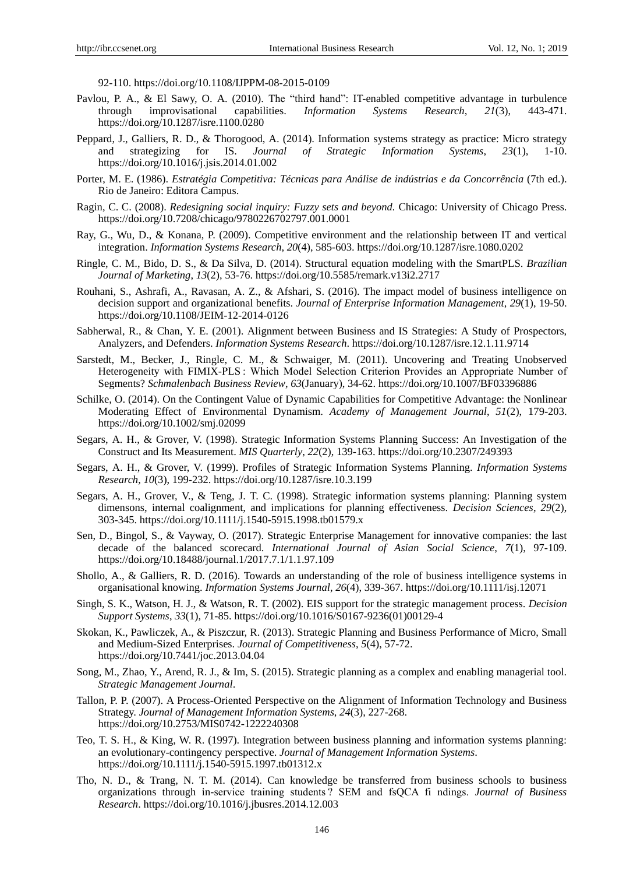92-110. https://doi.org/10.1108/IJPPM-08-2015-0109

- Pavlou, P. A., & El Sawy, O. A. (2010). The "third hand": IT-enabled competitive advantage in turbulence through improvisational capabilities. *Information Systems Research*. 21(3). 443-471. through improvisational capabilities. *Information Systems Research*, *21*(3), 443-471. https://doi.org/10.1287/isre.1100.0280
- Peppard, J., Galliers, R. D., & Thorogood, A. (2014). Information systems strategy as practice: Micro strategy and strategizing for IS. *Journal of Strategic Information Systems*, *23*(1), 1-10. https://doi.org/10.1016/j.jsis.2014.01.002
- Porter, M. E. (1986). *Estratégia Competitiva: Técnicas para Análise de indústrias e da Concorrência* (7th ed.). Rio de Janeiro: Editora Campus.
- Ragin, C. C. (2008). *Redesigning social inquiry: Fuzzy sets and beyond.* Chicago: University of Chicago Press. https://doi.org/10.7208/chicago/9780226702797.001.0001
- Ray, G., Wu, D., & Konana, P. (2009). Competitive environment and the relationship between IT and vertical integration. *Information Systems Research*, *20*(4), 585-603. https://doi.org/10.1287/isre.1080.0202
- Ringle, C. M., Bido, D. S., & Da Silva, D. (2014). Structural equation modeling with the SmartPLS. *Brazilian Journal of Marketing*, *13*(2), 53-76. https://doi.org/10.5585/remark.v13i2.2717
- Rouhani, S., Ashrafi, A., Ravasan, A. Z., & Afshari, S. (2016). The impact model of business intelligence on decision support and organizational benefits. *Journal of Enterprise Information Management*, *29*(1), 19-50. https://doi.org/10.1108/JEIM-12-2014-0126
- Sabherwal, R., & Chan, Y. E. (2001). Alignment between Business and IS Strategies: A Study of Prospectors, Analyzers, and Defenders. *Information Systems Research*. https://doi.org/10.1287/isre.12.1.11.9714
- Sarstedt, M., Becker, J., Ringle, C. M., & Schwaiger, M. (2011). Uncovering and Treating Unobserved Heterogeneity with FIMIX-PLS : Which Model Selection Criterion Provides an Appropriate Number of Segments? *Schmalenbach Business Review*, *63*(January), 34-62. https://doi.org/10.1007/BF03396886
- Schilke, O. (2014). On the Contingent Value of Dynamic Capabilities for Competitive Advantage: the Nonlinear Moderating Effect of Environmental Dynamism. *Academy of Management Journal*, *51*(2), 179-203. https://doi.org/10.1002/smj.02099
- Segars, A. H., & Grover, V. (1998). Strategic Information Systems Planning Success: An Investigation of the Construct and Its Measurement. *MIS Quarterly*, *22*(2), 139-163. https://doi.org/10.2307/249393
- Segars, A. H., & Grover, V. (1999). Profiles of Strategic Information Systems Planning. *Information Systems Research*, *10*(3), 199-232. https://doi.org/10.1287/isre.10.3.199
- Segars, A. H., Grover, V., & Teng, J. T. C. (1998). Strategic information systems planning: Planning system dimensons, internal coalignment, and implications for planning effectiveness. *Decision Sciences*, *29*(2), 303-345. https://doi.org/10.1111/j.1540-5915.1998.tb01579.x
- Sen, D., Bingol, S., & Vayway, O. (2017). Strategic Enterprise Management for innovative companies: the last decade of the balanced scorecard. *International Journal of Asian Social Science*, *7*(1), 97-109. https://doi.org/10.18488/journal.1/2017.7.1/1.1.97.109
- Shollo, A., & Galliers, R. D. (2016). Towards an understanding of the role of business intelligence systems in organisational knowing. *Information Systems Journal*, *26*(4), 339-367. https://doi.org/10.1111/isj.12071
- Singh, S. K., Watson, H. J., & Watson, R. T. (2002). EIS support for the strategic management process. *Decision Support Systems*, *33*(1), 71-85. https://doi.org/10.1016/S0167-9236(01)00129-4
- Skokan, K., Pawliczek, A., & Piszczur, R. (2013). Strategic Planning and Business Performance of Micro, Small and Medium-Sized Enterprises. *Journal of Competitiveness*, *5*(4), 57-72. https://doi.org/10.7441/joc.2013.04.04
- Song, M., Zhao, Y., Arend, R. J., & Im, S. (2015). Strategic planning as a complex and enabling managerial tool. *Strategic Management Journal*.
- Tallon, P. P. (2007). A Process-Oriented Perspective on the Alignment of Information Technology and Business Strategy. *Journal of Management Information Systems*, *24*(3), 227-268. https://doi.org/10.2753/MIS0742-1222240308
- Teo, T. S. H., & King, W. R. (1997). Integration between business planning and information systems planning: an evolutionary-contingency perspective. *Journal of Management Information Systems*. https://doi.org/10.1111/j.1540-5915.1997.tb01312.x
- Tho, N. D., & Trang, N. T. M. (2014). Can knowledge be transferred from business schools to business organizations through in-service training students ? SEM and fsQCA fi ndings. *Journal of Business Research*. https://doi.org/10.1016/j.jbusres.2014.12.003